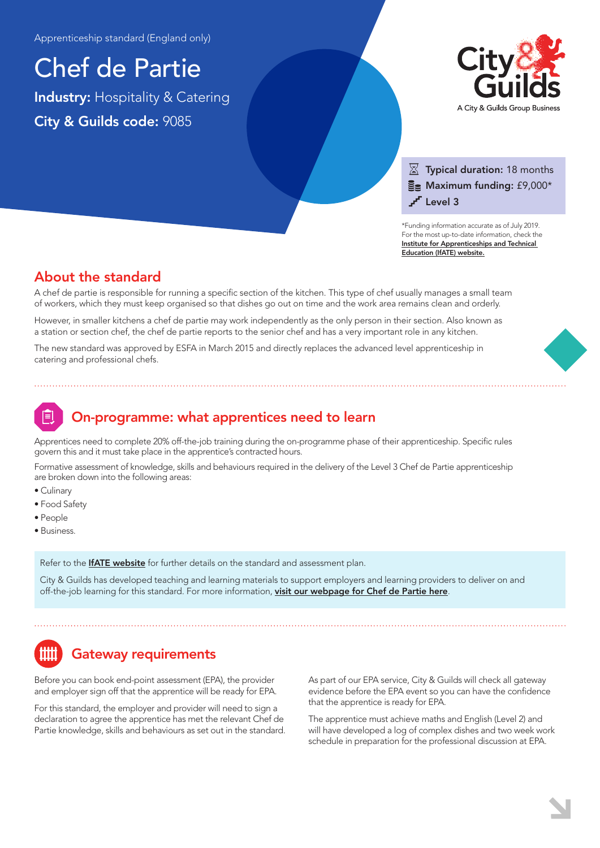Apprenticeship standard (England only)

Chef de Partie Industry: Hospitality & Catering City & Guilds code: 9085



### $\overline{\mathbb{X}}$  Typical duration: 18 months  $\Xi$  Maximum funding: £9,000\* r<sup>r</sup> Level 3

\*Funding information accurate as of July 2019. For the most up-to-date information, check the [Institute for Apprenticeships and Technical](https://www.instituteforapprenticeships.org/apprenticeship-standards/chef-de-partie/)  Education (IfATE) website.

### About the standard

A chef de partie is responsible for running a specific section of the kitchen. This type of chef usually manages a small team of workers, which they must keep organised so that dishes go out on time and the work area remains clean and orderly.

However, in smaller kitchens a chef de partie may work independently as the only person in their section. Also known as a station or section chef, the chef de partie reports to the senior chef and has a very important role in any kitchen.

The new standard was approved by ESFA in March 2015 and directly replaces the advanced level apprenticeship in catering and professional chefs.

## On-programme: what apprentices need to learn

Apprentices need to complete 20% off-the-job training during the on-programme phase of their apprenticeship. Specific rules govern this and it must take place in the apprentice's contracted hours.

Formative assessment of knowledge, skills and behaviours required in the delivery of the Level 3 Chef de Partie apprenticeship are broken down into the following areas:

- Culinary
- Food Safety
- People
- Business.

Refer to the **[IfATE website](https://www.instituteforapprenticeships.org/apprenticeship-standards/chef-de-partie/)** for further details on the standard and assessment plan.

City & Guilds has developed teaching and learning materials to support employers and learning providers to deliver on and off-the-job learning for this standard. For more information, [visit our webpage for Chef de Partie here](https://www.cityandguilds.com/qualifications-and-apprenticeships/hospitality-and-catering/hospitality-and-catering/9085-chef-de-partie#tab=information).

# Gateway requirements

Before you can book end-point assessment (EPA), the provider and employer sign off that the apprentice will be ready for EPA.

For this standard, the employer and provider will need to sign a declaration to agree the apprentice has met the relevant Chef de Partie knowledge, skills and behaviours as set out in the standard. As part of our EPA service, City & Guilds will check all gateway evidence before the EPA event so you can have the confidence that the apprentice is ready for EPA.

The apprentice must achieve maths and English (Level 2) and will have developed a log of complex dishes and two week work schedule in preparation for the professional discussion at EPA.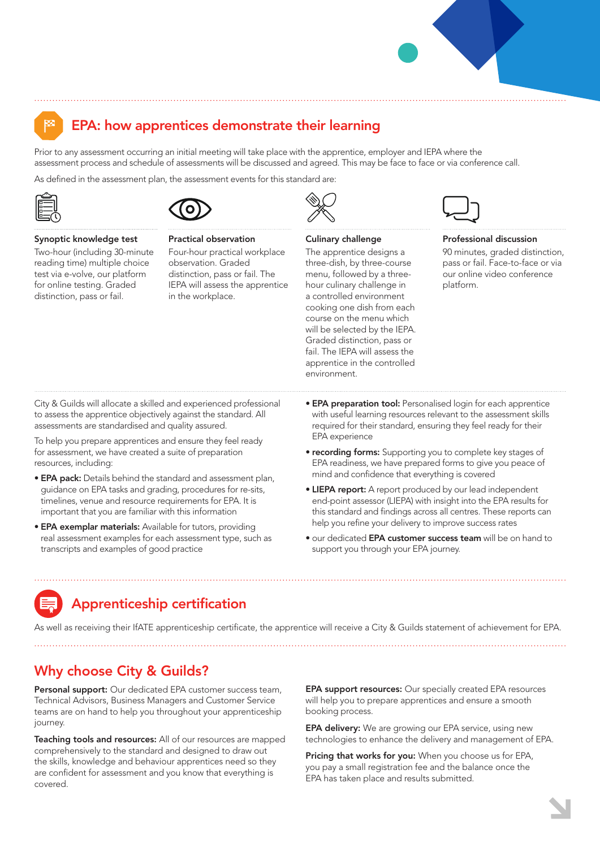

### EPA: how apprentices demonstrate their learning

Prior to any assessment occurring an initial meeting will take place with the apprentice, employer and IEPA where the assessment process and schedule of assessments will be discussed and agreed. This may be face to face or via conference call.

As defined in the assessment plan, the assessment events for this standard are:





#### Synoptic knowledge test

Two-hour (including 30-minute reading time) multiple choice test via e-volve, our platform for online testing. Graded distinction, pass or fail.

Practical observation Four-hour practical workplace observation. Graded distinction, pass or fail. The IEPA will assess the apprentice in the workplace.



#### Culinary challenge

The apprentice designs a three-dish, by three-course menu, followed by a threehour culinary challenge in a controlled environment cooking one dish from each course on the menu which will be selected by the IEPA. Graded distinction, pass or fail. The IEPA will assess the apprentice in the controlled environment.



#### Professional discussion

90 minutes, graded distinction, pass or fail. Face-to-face or via our online video conference platform.

City & Guilds will allocate a skilled and experienced professional to assess the apprentice objectively against the standard. All assessments are standardised and quality assured.

To help you prepare apprentices and ensure they feel ready for assessment, we have created a suite of preparation resources, including:

- EPA pack: Details behind the standard and assessment plan, guidance on EPA tasks and grading, procedures for re-sits, timelines, venue and resource requirements for EPA. It is important that you are familiar with this information
- EPA exemplar materials: Available for tutors, providing real assessment examples for each assessment type, such as transcripts and examples of good practice
- **EPA preparation tool:** Personalised login for each apprentice with useful learning resources relevant to the assessment skills required for their standard, ensuring they feel ready for their EPA experience
- recording forms: Supporting you to complete key stages of EPA readiness, we have prepared forms to give you peace of mind and confidence that everything is covered
- LIEPA report: A report produced by our lead independent end-point assessor (LIEPA) with insight into the EPA results for this standard and findings across all centres. These reports can help you refine your delivery to improve success rates
- our dedicated EPA customer success team will be on hand to support you through your EPA journey.

# Apprenticeship certification

As well as receiving their IfATE apprenticeship certificate, the apprentice will receive a City & Guilds statement of achievement for EPA.

Why choose City & Guilds?

Personal support: Our dedicated EPA customer success team, Technical Advisors, Business Managers and Customer Service teams are on hand to help you throughout your apprenticeship journey.

Teaching tools and resources: All of our resources are mapped comprehensively to the standard and designed to draw out the skills, knowledge and behaviour apprentices need so they are confident for assessment and you know that everything is covered.

EPA support resources: Our specially created EPA resources will help you to prepare apprentices and ensure a smooth booking process.

**EPA delivery:** We are growing our EPA service, using new technologies to enhance the delivery and management of EPA.

Pricing that works for you: When you choose us for EPA, you pay a small registration fee and the balance once the EPA has taken place and results submitted.